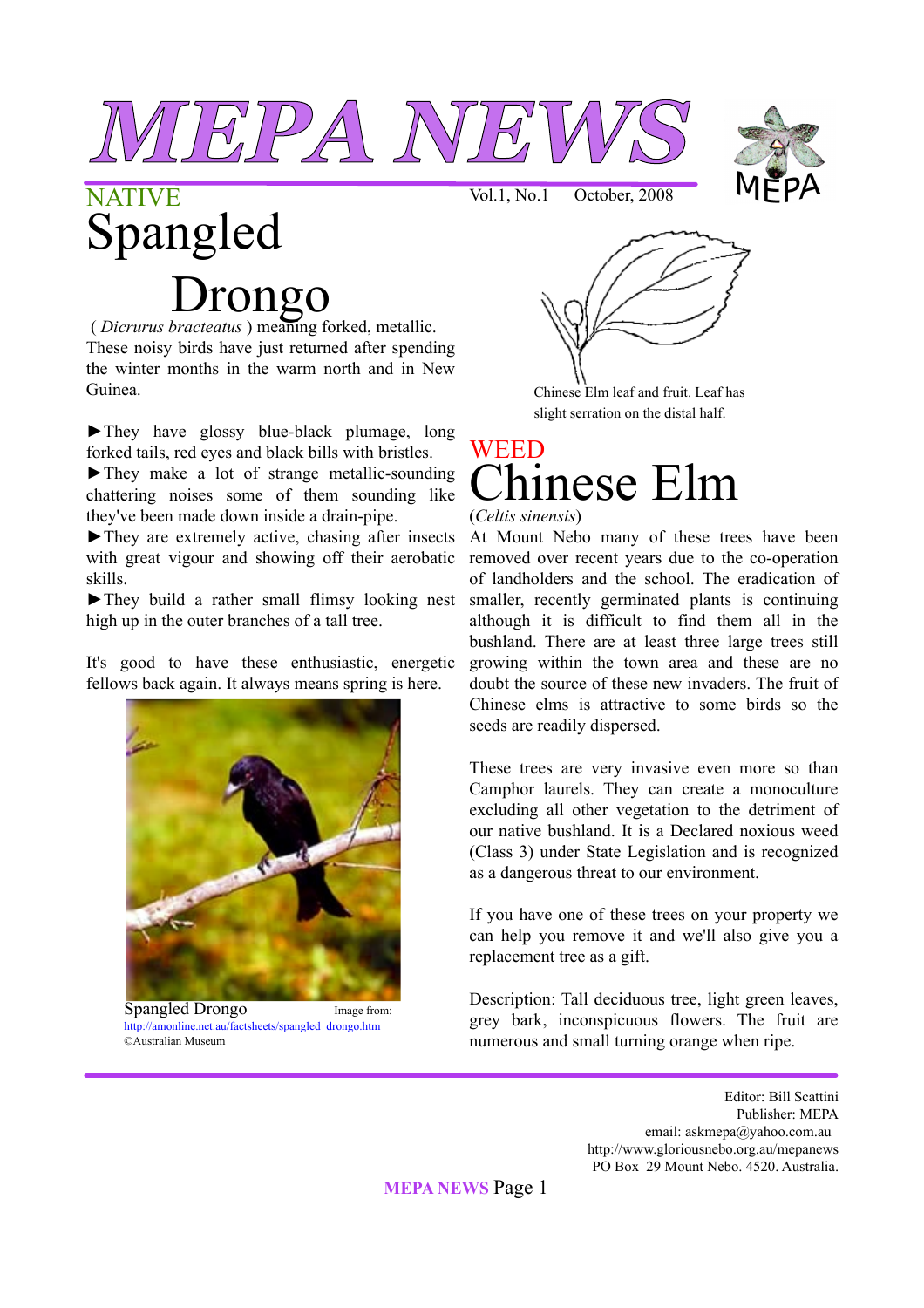



# **NATIVE** Spangled Drongo

( *Dicrurus bracteatus* ) meaning forked, metallic. These noisy birds have just returned after spending the winter months in the warm north and in New Guinea.

►They have glossy blue-black plumage, long forked tails, red eyes and black bills with bristles.

►They make a lot of strange metallic-sounding chattering noises some of them sounding like they've been made down inside a drain-pipe.

 $\blacktriangleright$  They are extremely active, chasing after insects with great vigour and showing off their aerobatic skills.

►They build a rather small flimsy looking nest smaller, recently germinated plants is continuing high up in the outer branches of a tall tree.

It's good to have these enthusiastic, energetic fellows back again. It always means spring is here.



Spangled Drongo Image from: http://amonline.net.au/factsheets/spangled\_drongo.htm ©Australian Museum

Vol.1, No.1 October, 2008



Chinese Elm leaf and fruit. Leaf has slight serration on the distal half.

## WEED ninese Elm

#### (*Celtis sinensis*)

At Mount Nebo many of these trees have been removed over recent years due to the co-operation of landholders and the school. The eradication of although it is difficult to find them all in the bushland. There are at least three large trees still growing within the town area and these are no doubt the source of these new invaders. The fruit of Chinese elms is attractive to some birds so the seeds are readily dispersed.

These trees are very invasive even more so than Camphor laurels. They can create a monoculture excluding all other vegetation to the detriment of our native bushland. It is a Declared noxious weed (Class 3) under State Legislation and is recognized as a dangerous threat to our environment.

If you have one of these trees on your property we can help you remove it and we'll also give you a replacement tree as a gift.

Description: Tall deciduous tree, light green leaves, grey bark, inconspicuous flowers. The fruit are numerous and small turning orange when ripe.

> Editor: Bill Scattini Publisher: MEPA email: askmepa@yahoo.com.au http://www.gloriousnebo.org.au/mepanews PO Box 29 Mount Nebo. 4520. Australia.

**MEPA NEWS** Page 1